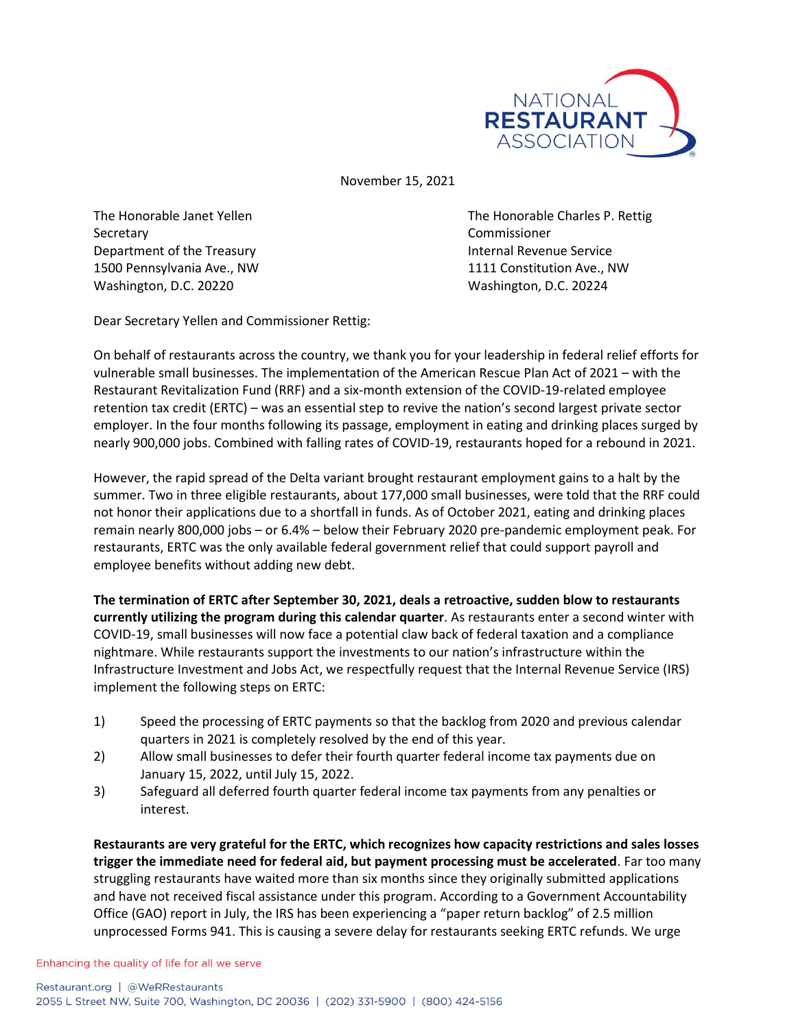

November 15, 2021

Secretary Commissioner Department of the Treasury **Internal Revenue Service** 1500 Pennsylvania Ave., NW 1111 Constitution Ave., NW Washington, D.C. 20220 Washington, D.C. 20224

The Honorable Janet Yellen The Honorable Charles P. Rettig

Dear Secretary Yellen and Commissioner Rettig:

On behalf of restaurants across the country, we thank you for your leadership in federal relief efforts for vulnerable small businesses. The implementation of the American Rescue Plan Act of 2021 – with the Restaurant Revitalization Fund (RRF) and a six-month extension of the COVID-19-related employee retention tax credit (ERTC) – was an essential step to revive the nation's second largest private sector employer. In the four months following its passage, employment in eating and drinking places surged by nearly 900,000 jobs. Combined with falling rates of COVID-19, restaurants hoped for a rebound in 2021.

However, the rapid spread of the Delta variant brought restaurant employment gains to a halt by the summer. Two in three eligible restaurants, about 177,000 small businesses, were told that the RRF could not honor their applications due to a shortfall in funds. As of October 2021, eating and drinking places remain nearly 800,000 jobs – or 6.4% – below their February 2020 pre-pandemic employment peak. For restaurants, ERTC was the only available federal government relief that could support payroll and employee benefits without adding new debt.

**The termination of ERTC after September 30, 2021, deals a retroactive, sudden blow to restaurants currently utilizing the program during this calendar quarter**. As restaurants enter a second winter with COVID-19, small businesses will now face a potential claw back of federal taxation and a compliance nightmare. While restaurants support the investments to our nation's infrastructure within the Infrastructure Investment and Jobs Act, we respectfully request that the Internal Revenue Service (IRS) implement the following steps on ERTC:

- 1) Speed the processing of ERTC payments so that the backlog from 2020 and previous calendar quarters in 2021 is completely resolved by the end of this year.
- 2) Allow small businesses to defer their fourth quarter federal income tax payments due on January 15, 2022, until July 15, 2022.
- 3) Safeguard all deferred fourth quarter federal income tax payments from any penalties or interest.

**Restaurants are very grateful for the ERTC, which recognizes how capacity restrictions and sales losses trigger the immediate need for federal aid, but payment processing must be accelerated**. Far too many struggling restaurants have waited more than six months since they originally submitted applications and have not received fiscal assistance under this program. According to a Government Accountability Office (GAO) report in July, the IRS has been experiencing a "paper return backlog" of 2.5 million unprocessed Forms 941. This is causing a severe delay for restaurants seeking ERTC refunds. We urge

Enhancing the quality of life for all we serve